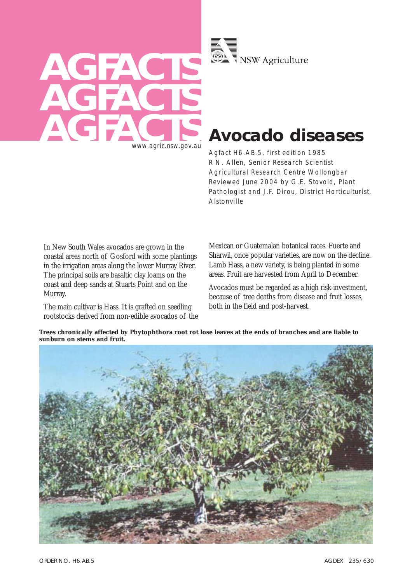



# **Avocado diseases**

Agfact H6.AB.5, first edition 1985 R N. Allen, Senior Research Scientist Agricultural Research Centre Wollongbar Reviewed June 2004 by G.E. Stovold, Plant Pathologist and J.F. Dirou, District Horticulturist, Alstonville

In New South Wales avocados are grown in the coastal areas north of Gosford with some plantings in the irrigation areas along the lower Murray River. The principal soils are basaltic clay loams on the coast and deep sands at Stuarts Point and on the Murray.

The main cultivar is Hass. It is grafted on seedling rootstocks derived from non-edible avocados of the Mexican or Guatemalan botanical races. Fuerte and Sharwil, once popular varieties, are now on the decline. Lamb Hass, a new variety, is being planted in some areas. Fruit are harvested from April to December.

Avocados must be regarded as a high risk investment, because of tree deaths from disease and fruit losses, both in the field and post-harvest.

**Trees chronically affected by Phytophthora root rot lose leaves at the ends of branches and are liable to sunburn on stems and fruit.**

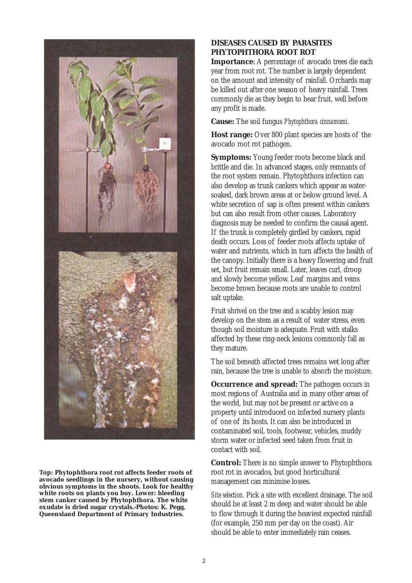

**Top: Phytophthora root rot affects feeder roots of avocado seedlings in the nursery, without causing obvious symptoms in the shoots. Look for healthy white roots on plants you buy. Lower: bleeding stem canker caused by Phytophthora. The white exudate is dried sugar crystals.-Photos: K. Pegg, Queensland Department of Primary Industries.**

## **DISEASES CAUSED BY PARASITES PHYTOPHTHORA ROOT ROT**

**Importance**: A percentage of avocado trees die each year from root rot. The number is largely dependent on the amount and intensity of rainfall. Orchards may be killed out after one season of heavy rainfall. Trees commonly die as they begin to bear fruit, well before any profit is made.

**Cause:** The soil fungus *Phytophthora cinnamomi*.

**Host range:** Over 800 plant species are hosts of the avocado root rot pathogen.

**Symptoms:** Young feeder roots become black and brittle and die. In advanced stages, only remnants of the root system remain. Phytophthora infection can also develop as trunk cankers which appear as watersoaked, dark brown areas at or below ground level. A white secretion of sap is often present within cankers but can also result from other causes. Laboratory diagnosis may be needed to confirm the causal agent. If the trunk is completely girdled by cankers, rapid death occurs. Loss of feeder roots affects uptake of water and nutrients, which in turn affects the health of the canopy. Initially there is a heavy flowering and fruit set, but fruit remain small. Later, leaves curl, droop and slowly become yellow. Leaf margins and veins become brown because roots are unable to control salt uptake.

Fruit shrivel on the tree and a scabby lesion may develop on the stem as a result of water stress, even though soil moisture is adequate. Fruit with stalks affected by these ring-neck lesions commonly fall as they mature.

The soil beneath affected trees remains wet long after rain, because the tree is unable to absorb the moisture.

**Occurrence and spread:** The pathogen occurs in most regions of Australia and in many other areas of the world, but may not be present or active on a property until introduced on infected nursery plants of one of its hosts. It can also be introduced in contaminated soil, tools, footwear, vehicles, muddy storm water or infected seed taken from fruit in contact with soil.

**Control:** There is no simple answer to Phytophthora root rot in avocados, but good horticultural management can minimise losses.

*Site selection.* Pick a site with excellent drainage. The soil should be at least 2 m deep and water should be able to flow through it during the heaviest expected rainfall (for example, 250 mm per day on the coast). Air should be able to enter immediately rain ceases.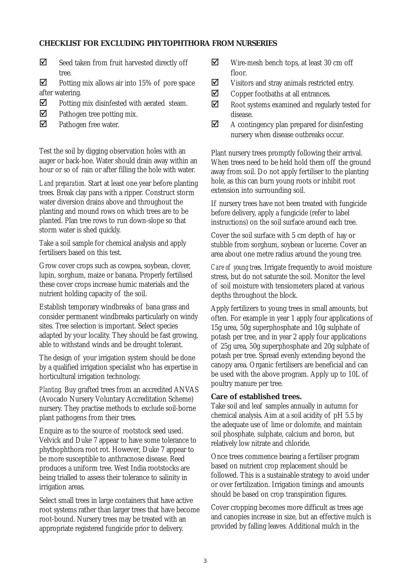## **CHECKLIST FOR EXCLUDING PHYTOPHTHORA FROM NURSERIES**

 $\triangledown$  Seed taken from fruit harvested directly off tree.

 $\boxtimes$  Potting mix allows air into 15% of pore space after watering.

- $\triangledown$  Potting mix disinfested with aerated steam.
- $\nabla$  Pathogen tree potting mix.
- $\nabla$  Pathogen free water.

Test the soil by digging observation holes with an auger or back-hoe. Water should drain away within an hour or so of rain or after filling the hole with water.

*Land preparation.* Start at least one year before planting trees. Break clay pans with a ripper. Construct storm water diversion drains above and throughout the planting and mound rows on which trees are to be planted. Plan tree rows to run down-slope so that storm water is shed quickly.

Take a soil sample for chemical analysis and apply fertilisers based on this test.

Grow cover crops such as cowpea, soybean, clover, lupin, sorghum, maize or banana. Properly fertilised these cover crops increase humic materials and the nutrient holding capacity of the soil.

Establish temporary windbreaks of bana grass and consider permanent windbreaks particularly on windy sites. Tree selection is important. Select species adapted by your locality. They should be fast growing, able to withstand winds and be drought tolerant.

The design of your irrigation system should be done by a qualified irrigation specialist who has expertise in horticultural irrigation technology.

*Planting.* Buy grafted trees from an accredited ANVAS (Avocado Nursery Voluntary Accreditation Scheme) nursery. They practise methods to exclude soil-borne plant pathogens from their trees.

Enquire as to the source of rootstock seed used. Velvick and Duke 7 appear to have some tolerance to phythophthora root rot. However, Duke 7 appear to be more susceptible to anthracnose disease. Reed produces a uniform tree. West India rootstocks are being trialled to assess their tolerance to salinity in irrigation areas.

Select small trees in large containers that have active root systems rather than larger trees that have become root-bound. Nursery trees may be treated with an appropriate registered fungicide prior to delivery.

- $\nabla$  Wire-mesh bench tops, at least 30 cm off floor.
- $\triangledown$  Visitors and stray animals restricted entry.
- $\triangledown$  Copper footbaths at all entrances.
- $\boxtimes$  Root systems examined and regularly tested for disease.
- $\triangledown$  A contingency plan prepared for disinfesting nursery when disease outbreaks occur.

Plant nursery trees promptly following their arrival. When trees need to be held hold them off the ground away from soil. Do not apply fertiliser to the planting hole, as this can burn young roots or inhibit root extension into surrounding soil.

If nursery trees have not been treated with fungicide before delivery, apply a fungicide (refer to label instructions) on the soil surface around each tree.

Cover the soil surface with 5 cm depth of hay or stubble from sorghum, soybean or lucerne. Cover an area about one metre radius around the young tree.

*Care of young trees.* Irrigate frequently to avoid moisture stress, but do not saturate the soil. Monitor the level of soil moisture with tensiometers placed at various depths throughout the block.

Apply fertilizers to young trees in small amounts, but often. For example in year 1 apply four applications of 15g urea, 50g superphosphate and 10g sulphate of potash per tree, and in year 2 apply four applications of 25g urea, 50g superphosphate and 20g sulphate of potash per tree. Spread evenly extending beyond the canopy area. Organic fertilisers are beneficial and can be used with the above program. Apply up to 10L of poultry manure per tree.

#### **Care of established trees.**

Take soil and leaf samples annually in autumn for chemical analysis. Aim at a soil acidity of pH 5.5 by the adequate use of lime or dolomite, and maintain soil phosphate, sulphate, calcium and boron, but relatively low nitrate and chloride.

Once trees commence bearing a fertiliser program based on nutrient crop replacement should be followed. This is a sustainable strategy to avoid under or over fertilization. Irrigation timings and amounts should be based on crop transpiration figures.

Cover cropping becomes more difficult as trees age and canopies increase in size, but an effective mulch is provided by falling leaves. Additional mulch in the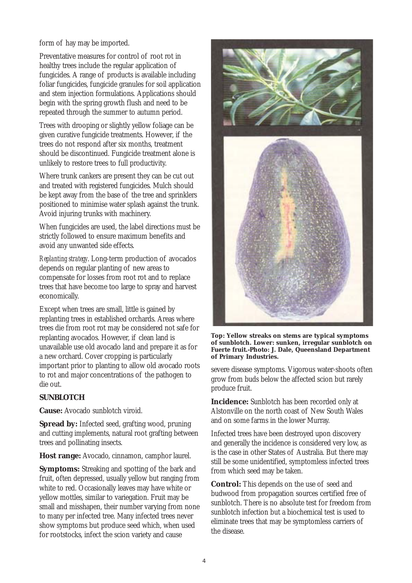form of hay may be imported.

Preventative measures for control of root rot in healthy trees include the regular application of fungicides. A range of products is available including foliar fungicides, fungicide granules for soil application and stem injection formulations. Applications should begin with the spring growth flush and need to be repeated through the summer to autumn period.

Trees with drooping or slightly yellow foliage can be given curative fungicide treatments. However, if the trees do not respond after six months, treatment should be discontinued. Fungicide treatment alone is unlikely to restore trees to full productivity.

Where trunk cankers are present they can be cut out and treated with registered fungicides. Mulch should be kept away from the base of the tree and sprinklers positioned to minimise water splash against the trunk. Avoid injuring trunks with machinery.

When fungicides are used, the label directions must be strictly followed to ensure maximum benefits and avoid any unwanted side effects.

*Replanting strategy*. Long-term production of avocados depends on regular planting of new areas to compensate for losses from root rot and to replace trees that have become too large to spray and harvest economically.

Except when trees are small, little is gained by replanting trees in established orchards. Areas where trees die from root rot may be considered not safe for replanting avocados. However, if clean land is unavailable use old avocado land and prepare it as for a new orchard. Cover cropping is particularly important prior to planting to allow old avocado roots to rot and major concentrations of the pathogen to die out.

## **SUNBLOTCH**

**Cause:** Avocado sunblotch viroid.

**Spread by:** Infected seed, grafting wood, pruning and cutting implements, natural root grafting between trees and pollinating insects.

**Host range:** Avocado, cinnamon, camphor laurel.

**Symptoms:** Streaking and spotting of the bark and fruit, often depressed, usually yellow but ranging from white to red. Occasionally leaves may have white or yellow mottles, similar to variegation. Fruit may be small and misshapen, their number varying from none to many per infected tree. Many infected trees never show symptoms but produce seed which, when used for rootstocks, infect the scion variety and cause



**Top: Yellow streaks on stems are typical symptoms of sunblotch. Lower: sunken, irregular sunblotch on Fuerte fruit.-Photo: J. Dale, Queensland Department of Primary Industries.**

severe disease symptoms. Vigorous water-shoots often grow from buds below the affected scion but rarely produce fruit.

**Incidence:** Sunblotch has been recorded only at Alstonville on the north coast of New South Wales and on some farms in the lower Murray.

Infected trees have been destroyed upon discovery and generally the incidence is considered very low, as is the case in other States of Australia. But there may still be some unidentified, symptomless infected trees from which seed may be taken.

**Control:** This depends on the use of seed and budwood from propagation sources certified free of sunblotch. There is no absolute test for freedom from sunblotch infection but a biochemical test is used to eliminate trees that may be symptomless carriers of the disease.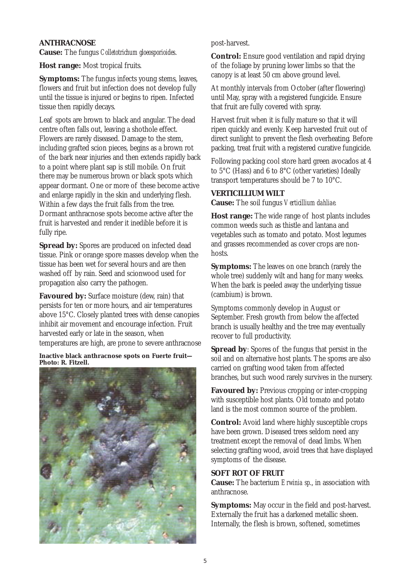## **ANTHRACNOSE**

**Cause:** The fungus *Colletotrichum gloeosporioides*.

**Host range:** Most tropical fruits.

**Symptoms:** The fungus infects young stems, leaves, flowers and fruit but infection does not develop fully until the tissue is injured or begins to ripen. Infected tissue then rapidly decays.

Leaf spots are brown to black and angular. The dead centre often falls out, leaving a shothole effect. Flowers are rarely diseased. Damage to the stem, including grafted scion pieces, begins as a brown rot of the bark near injuries and then extends rapidly back to a point where plant sap is still mobile. On fruit there may be numerous brown or black spots which appear dormant. One or more of these become active and enlarge rapidly in the skin and underlying flesh. Within a few days the fruit falls from the tree. Dormant anthracnose spots become active after the fruit is harvested and render it inedible before it is fully ripe.

**Spread by:** Spores are produced on infected dead tissue. Pink or orange spore masses develop when the tissue has been wet for several hours and are then washed off by rain. Seed and scionwood used for propagation also carry the pathogen.

**Favoured by:** Surface moisture (dew, rain) that persists for ten or more hours, and air temperatures above 15°C. Closely planted trees with dense canopies inhibit air movement and encourage infection. Fruit harvested early or late in the season, when temperatures are high, are prone to severe anthracnose

**Inactive black anthracnose spots on Fuerte fruit— Photo: R. Fitzell.**



post-harvest.

**Control:** Ensure good ventilation and rapid drying of the foliage by pruning lower limbs so that the canopy is at least 50 cm above ground level.

At monthly intervals from October (after flowering) until May, spray with a registered fungicide. Ensure that fruit are fully covered with spray.

Harvest fruit when it is fully mature so that it will ripen quickly and evenly. Keep harvested fruit out of direct sunlight to prevent the flesh overheating. Before packing, treat fruit with a registered curative fungicide.

Following packing cool store hard green avocados at 4 to 5°C (Hass) and 6 to 8°C (other varieties) Ideally transport temperatures should be 7 to 10°C.

## **VERTICILLIUM WILT**

**Cause:** The soil fungus *Verticillium dahliae.*

**Host range:** The wide range of host plants includes common weeds such as thistle and lantana and vegetables such as tomato and potato. Most legumes and grasses recommended as cover crops are nonhosts.

**Symptoms:** The leaves on one branch (rarely the whole tree) suddenly wilt and hang for many weeks. When the bark is peeled away the underlying tissue (cambium) is brown.

Symptoms commonly develop in August or September. Fresh growth from below the affected branch is usually healthy and the tree may eventually recover to full productivity.

**Spread by**: Spores of the fungus that persist in the soil and on alternative host plants. The spores are also carried on grafting wood taken from affected branches, but such wood rarely survives in the nursery.

**Favoured by:** Previous cropping or inter-cropping with susceptible host plants. Old tomato and potato land is the most common source of the problem.

**Control:** Avoid land where highly susceptible crops have been grown. Diseased trees seldom need any treatment except the removal of dead limbs. When selecting grafting wood, avoid trees that have displayed symptoms of the disease.

## **SOFT ROT OF FRUIT**

**Cause:** The bacterium *Erwinia sp*., in association with anthracnose.

**Symptoms:** May occur in the field and post-harvest. Externally the fruit has a darkened metallic sheen. Internally, the flesh is brown, softened, sometimes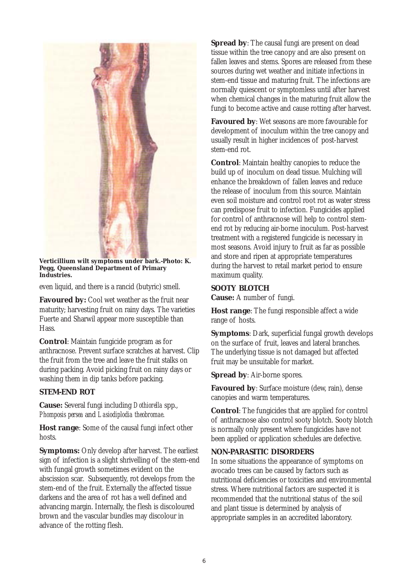

**Verticillium wilt symptoms under bark.-Photo: K. Pegg, Queensland Department of Primary Industries.**

even liquid, and there is a rancid (butyric) smell.

**Favoured by:** Cool wet weather as the fruit near maturity; harvesting fruit on rainy days. The varieties Fuerte and Sharwil appear more susceptible than Hass.

**Control**: Maintain fungicide program as for anthracnose. Prevent surface scratches at harvest. Clip the fruit from the tree and leave the fruit stalks on during packing. Avoid picking fruit on rainy days or washing them in dip tanks before packing.

#### **STEM-END ROT**

**Cause:** Several fungi including *Dothiorella* spp., *Phomposis persea* and *Lasiodiplodia theobromae*.

**Host range**: Some of the causal fungi infect other hosts.

**Symptoms:** Only develop after harvest. The earliest sign of infection is a slight shrivelling of the stem-end with fungal growth sometimes evident on the abscission scar. Subsequently, rot develops from the stem-end of the fruit. Externally the affected tissue darkens and the area of rot has a well defined and advancing margin. Internally, the flesh is discoloured brown and the vascular bundles may discolour in advance of the rotting flesh.

**Spread by:** The causal fungi are present on dead tissue within the tree canopy and are also present on fallen leaves and stems. Spores are released from these sources during wet weather and initiate infections in stem-end tissue and maturing fruit. The infections are normally quiescent or symptomless until after harvest when chemical changes in the maturing fruit allow the fungi to become active and cause rotting after harvest.

**Favoured by**: Wet seasons are more favourable for development of inoculum within the tree canopy and usually result in higher incidences of post-harvest stem-end rot.

**Control**: Maintain healthy canopies to reduce the build up of inoculum on dead tissue. Mulching will enhance the breakdown of fallen leaves and reduce the release of inoculum from this source. Maintain even soil moisture and control root rot as water stress can predispose fruit to infection. Fungicides applied for control of anthracnose will help to control stemend rot by reducing air-borne inoculum. Post-harvest treatment with a registered fungicide is necessary in most seasons. Avoid injury to fruit as far as possible and store and ripen at appropriate temperatures during the harvest to retail market period to ensure maximum quality.

#### **SOOTY BLOTCH**

**Cause:** A number of fungi.

**Host range**: The fungi responsible affect a wide range of hosts.

**Symptoms**: Dark, superficial fungal growth develops on the surface of fruit, leaves and lateral branches. The underlying tissue is not damaged but affected fruit may be unsuitable for market.

**Spread by**: Air-borne spores.

**Favoured by**: Surface moisture (dew, rain), dense canopies and warm temperatures.

**Control**: The fungicides that are applied for control of anthracnose also control sooty blotch. Sooty blotch is normally only present where fungicides have not been applied or application schedules are defective.

### **NON-PARASITIC DISORDERS**

In some situations the appearance of symptoms on avocado trees can be caused by factors such as nutritional deficiencies or toxicities and environmental stress. Where nutritional factors are suspected it is recommended that the nutritional status of the soil and plant tissue is determined by analysis of appropriate samples in an accredited laboratory.